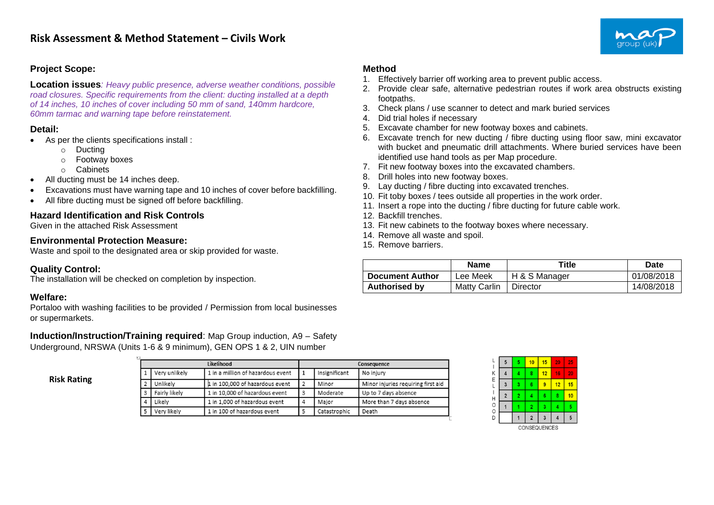

## **Project Scope:**

**Location issues***: Heavy public presence, adverse weather conditions, possible road closures. Specific requirements from the client: ducting installed at a depth of 14 inches, 10 inches of cover including 50 mm of sand, 140mm hardcore, 60mm tarmac and warning tape before reinstatement.*

#### **Detail:**

- As per the clients specifications install :
	- o Ducting
	- o Footway boxes
	- o Cabinets
- All ducting must be 14 inches deep.
- Excavations must have warning tape and 10 inches of cover before backfilling.
- All fibre ducting must be signed off before backfilling.

# **Hazard Identification and Risk Controls**

Given in the attached Risk Assessment

### **Environmental Protection Measure:**

Waste and spoil to the designated area or skip provided for waste.

### **Quality Control:**

The installation will be checked on completion by inspection.

### **Welfare:**

Portaloo with washing facilities to be provided / Permission from local businesses or supermarkets.

**Induction/Instruction/Training required**: Map Group induction, A9 – Safety Underground, NRSWA (Units 1-6 & 9 minimum), GEN OPS 1 & 2, UIN number

**Risk Rating**

|               | Likelihood                        | Consequence |               |                                    |  |
|---------------|-----------------------------------|-------------|---------------|------------------------------------|--|
| Very unlikely | 1 in a million of hazardous event |             | Insignificant | No injury                          |  |
| Unlikelv      | 1 in 100,000 of hazardous event   |             | Minor         | Minor injuries requiring first aid |  |
| Fairly likely | 1 in 10,000 of hazardous event    |             | Moderate      | Up to 7 days absence               |  |
| Likelv        | 1 in 1,000 of hazardous event     |             | Maior         | More than 7 days absence           |  |
| Very likely   | 1 in 100 of hazardous event       |             | Catastrophic  | Death                              |  |

#### **Method**

- 1. Effectively barrier off working area to prevent public access.
- 2. Provide clear safe, alternative pedestrian routes if work area obstructs existing footpaths.
- 3. Check plans / use scanner to detect and mark buried services
- 4. Did trial holes if necessary
- 5. Excavate chamber for new footway boxes and cabinets.
- 6. Excavate trench for new ducting / fibre ducting using floor saw, mini excavator with bucket and pneumatic drill attachments. Where buried services have been identified use hand tools as per Map procedure.
- 7. Fit new footway boxes into the excavated chambers.
- 8. Drill holes into new footway boxes.
- 9. Lay ducting / fibre ducting into excavated trenches.
- 10. Fit toby boxes / tees outside all properties in the work order.
- 11. Insert a rope into the ducting / fibre ducting for future cable work.
- 12. Backfill trenches.
- 13. Fit new cabinets to the footway boxes where necessary.
- 14. Remove all waste and spoil.
- 15. Remove barriers.

|                        | <b>Name</b>         | Title         | Date       |
|------------------------|---------------------|---------------|------------|
| <b>Document Author</b> | Lee Meek            | H & S Manager | 01/08/2018 |
| <b>Authorised by</b>   | <b>Matty Carlin</b> | Director      | 14/08/2018 |

| L           | 5              | 5              | 10             | 15           | 20 | 25 |
|-------------|----------------|----------------|----------------|--------------|----|----|
|             |                | 4              | 8              | 12           | 16 | 20 |
| K<br>E<br>L | 3              | 3              | 6              | 9            | 12 | 15 |
|             | $\overline{2}$ | $\overline{2}$ |                | 6            | 8  | 10 |
| <b>HOOD</b> |                |                | $\overline{2}$ | 3            | 4  | 5  |
|             |                |                | $\overline{2}$ | 3            |    | 5  |
|             |                |                |                | CONSEQUENCES |    |    |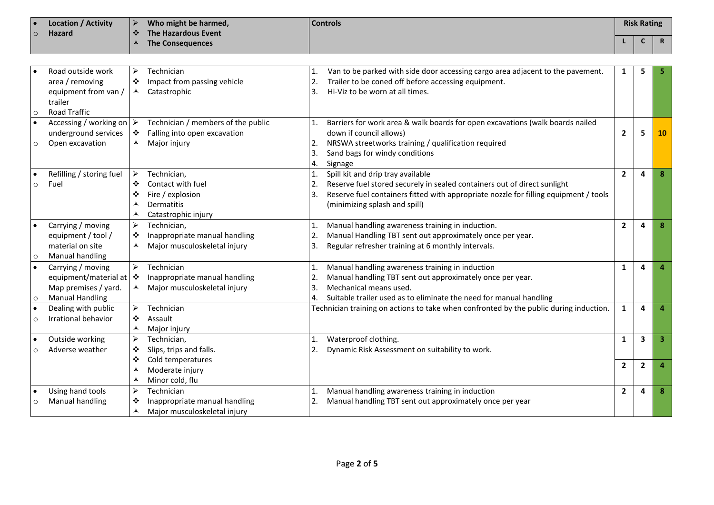| ∣ е                | Location / Activity | Who might be harmed, | <b>Controls</b> | <b>Risk Rating</b> |     |
|--------------------|---------------------|----------------------|-----------------|--------------------|-----|
| $\overline{\circ}$ | <b>Hazard</b>       | The Hazardous Event  |                 |                    |     |
|                    |                     | The Consequences     |                 |                    | - 6 |

|           | Road outside work                       | ➤                     | Technician                         |    | Van to be parked with side door accessing cargo area adjacent to the pavement.         | 1              | 5                       |    |
|-----------|-----------------------------------------|-----------------------|------------------------------------|----|----------------------------------------------------------------------------------------|----------------|-------------------------|----|
|           | area / removing                         | ❖                     | Impact from passing vehicle        | 2. | Trailer to be coned off before accessing equipment.                                    |                |                         |    |
|           | equipment from van /                    | ▴                     | Catastrophic                       | 3. | Hi-Viz to be worn at all times.                                                        |                |                         |    |
|           | trailer                                 |                       |                                    |    |                                                                                        |                |                         |    |
| $\circ$   | <b>Road Traffic</b>                     |                       |                                    |    |                                                                                        |                |                         |    |
|           | Accessing / working on $\triangleright$ |                       | Technician / members of the public |    | Barriers for work area & walk boards for open excavations (walk boards nailed          |                |                         |    |
|           | underground services                    | ❖                     | Falling into open excavation       |    | down if council allows)                                                                | $\mathbf{2}$   | 5                       | 10 |
|           | Open excavation                         | ▲                     | Major injury                       | 2. | NRSWA streetworks training / qualification required                                    |                |                         |    |
|           |                                         |                       |                                    | 3. | Sand bags for windy conditions                                                         |                |                         |    |
|           |                                         |                       |                                    | 4. | Signage                                                                                |                |                         |    |
| $\bullet$ | Refilling / storing fuel                | $\blacktriangleright$ | Technician,                        |    | Spill kit and drip tray available                                                      | $\mathbf{2}$   | $\boldsymbol{a}$        |    |
| $\circ$   | Fuel                                    | ❖                     | Contact with fuel                  |    | Reserve fuel stored securely in sealed containers out of direct sunlight               |                |                         |    |
|           |                                         | ❖                     | Fire / explosion                   | 3. | Reserve fuel containers fitted with appropriate nozzle for filling equipment / tools   |                |                         |    |
|           |                                         | ▴                     | <b>Dermatitis</b>                  |    | (minimizing splash and spill)                                                          |                |                         |    |
|           |                                         | ▴                     | Catastrophic injury                |    |                                                                                        |                |                         |    |
|           | Carrying / moving                       | ➤                     | Technician,                        |    | Manual handling awareness training in induction.                                       | $\overline{2}$ | 4                       |    |
|           | equipment / tool /                      | ❖                     | Inappropriate manual handling      |    | Manual Handling TBT sent out approximately once per year.                              |                |                         |    |
|           | material on site                        | ▴                     | Major musculoskeletal injury       | 3. | Regular refresher training at 6 monthly intervals.                                     |                |                         |    |
| $\circ$   | Manual handling                         |                       |                                    |    |                                                                                        |                |                         |    |
|           | Carrying / moving                       | $\blacktriangleright$ | Technician                         |    | Manual handling awareness training in induction                                        | 1              | Δ                       |    |
|           | equipment/material at $ \cdot\rangle$   |                       | Inappropriate manual handling      |    | Manual handling TBT sent out approximately once per year.                              |                |                         |    |
|           | Map premises / yard.                    | ▲                     | Major musculoskeletal injury       | 3. | Mechanical means used.                                                                 |                |                         |    |
| $\circ$   | <b>Manual Handling</b>                  |                       |                                    |    | Suitable trailer used as to eliminate the need for manual handling                     |                |                         |    |
| ∣•        | Dealing with public                     | $\blacktriangleright$ | Technician                         |    | Technician training on actions to take when confronted by the public during induction. | $\mathbf{1}$   | 4                       |    |
| $\circ$   | Irrational behavior                     | ❖                     | Assault                            |    |                                                                                        |                |                         |    |
|           |                                         | ▴                     | Major injury                       |    |                                                                                        |                |                         |    |
|           | Outside working                         | ➤                     | Technician,                        | 1. | Waterproof clothing.                                                                   | $\mathbf{1}$   | $\overline{\mathbf{3}}$ |    |
|           | Adverse weather                         | ❖                     | Slips, trips and falls.            |    | Dynamic Risk Assessment on suitability to work.                                        |                |                         |    |
|           |                                         | ❖                     | Cold temperatures                  |    |                                                                                        | $\overline{2}$ | $\overline{2}$          |    |
|           |                                         | ▴                     | Moderate injury                    |    |                                                                                        |                |                         |    |
|           |                                         | ᆺ                     | Minor cold, flu                    |    |                                                                                        |                |                         |    |
|           | Using hand tools                        | $\blacktriangleright$ | Technician                         |    | Manual handling awareness training in induction                                        | $\overline{2}$ | 4                       |    |
| $\circ$   | Manual handling                         | ❖                     | Inappropriate manual handling      |    | Manual handling TBT sent out approximately once per year                               |                |                         |    |
|           |                                         | ⋏                     | Major musculoskeletal injury       |    |                                                                                        |                |                         |    |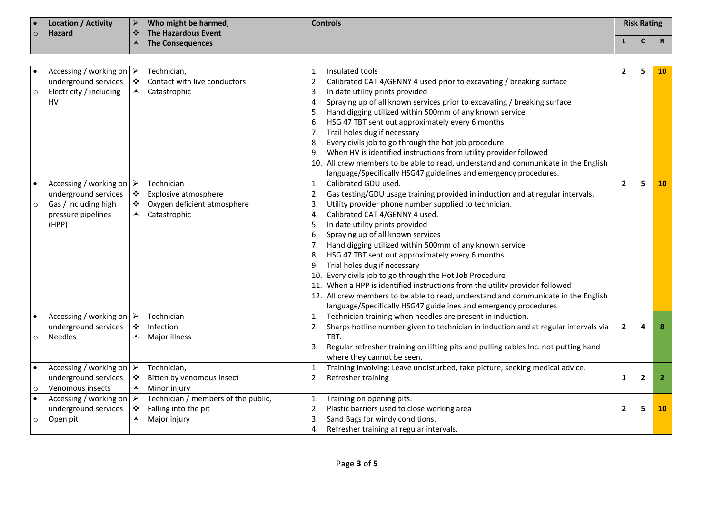| $\circ$ | <b>Location / Activity</b><br>╹⋗<br><b>Hazard</b> | Who might be harmed,<br>The Hazardous Event<br>∣⊷* | <b>Controls</b> |  | <b>Risk Rating</b> |  |
|---------|---------------------------------------------------|----------------------------------------------------|-----------------|--|--------------------|--|
|         |                                                   | <b>The Consequences</b>                            |                 |  | $\mathsf{R}$       |  |
|         |                                                   |                                                    |                 |  |                    |  |

|           | Accessing / working on $\triangleright$ |                  | Technician,                         | 1.  | Insulated tools                                                                     | 2              | 5            | 10        |
|-----------|-----------------------------------------|------------------|-------------------------------------|-----|-------------------------------------------------------------------------------------|----------------|--------------|-----------|
|           | underground services                    | ❖                | Contact with live conductors        |     | Calibrated CAT 4/GENNY 4 used prior to excavating / breaking surface                |                |              |           |
| $\circ$   | Electricity / including                 | ▴                | Catastrophic                        | 3.  | In date utility prints provided                                                     |                |              |           |
|           | <b>HV</b>                               |                  |                                     | 4.  | Spraying up of all known services prior to excavating / breaking surface            |                |              |           |
|           |                                         |                  |                                     | 5.  | Hand digging utilized within 500mm of any known service                             |                |              |           |
|           |                                         |                  |                                     | 6.  | HSG 47 TBT sent out approximately every 6 months                                    |                |              |           |
|           |                                         |                  |                                     |     | Trail holes dug if necessary                                                        |                |              |           |
|           |                                         |                  |                                     | 8.  | Every civils job to go through the hot job procedure                                |                |              |           |
|           |                                         |                  |                                     | 9.  | When HV is identified instructions from utility provider followed                   |                |              |           |
|           |                                         |                  |                                     | 10. | All crew members to be able to read, understand and communicate in the English      |                |              |           |
|           |                                         |                  |                                     |     | language/Specifically HSG47 guidelines and emergency procedures.                    |                |              |           |
|           | Accessing / working on $\triangleright$ |                  | Technician                          | 1.  | Calibrated GDU used.                                                                | $\overline{2}$ | 5            | 10        |
|           | underground services                    | $\ddot{\bullet}$ | Explosive atmosphere                | 2.  | Gas testing/GDU usage training provided in induction and at regular intervals.      |                |              |           |
| $\circ$   | Gas / including high                    | ❖                | Oxygen deficient atmosphere         | 3.  | Utility provider phone number supplied to technician.                               |                |              |           |
|           | pressure pipelines                      | ▲                | Catastrophic                        | 4.  | Calibrated CAT 4/GENNY 4 used.                                                      |                |              |           |
|           | (HPP)                                   |                  |                                     | 5.  | In date utility prints provided                                                     |                |              |           |
|           |                                         |                  |                                     | 6.  | Spraying up of all known services                                                   |                |              |           |
|           |                                         |                  |                                     |     | Hand digging utilized within 500mm of any known service                             |                |              |           |
|           |                                         |                  |                                     | 8.  | HSG 47 TBT sent out approximately every 6 months                                    |                |              |           |
|           |                                         |                  |                                     | 9.  | Trial holes dug if necessary                                                        |                |              |           |
|           |                                         |                  |                                     |     | 10. Every civils job to go through the Hot Job Procedure                            |                |              |           |
|           |                                         |                  |                                     |     | 11. When a HPP is identified instructions from the utility provider followed        |                |              |           |
|           |                                         |                  |                                     |     | 12. All crew members to be able to read, understand and communicate in the English  |                |              |           |
|           |                                         |                  |                                     |     | language/Specifically HSG47 guidelines and emergency procedures                     |                |              |           |
|           | Accessing / working on $\triangleright$ |                  | Technician                          | 1.  | Technician training when needles are present in induction.                          |                |              |           |
|           | underground services                    | ❖                | Infection                           | 2.  | Sharps hotline number given to technician in induction and at regular intervals via | $\mathbf{2}$   | Δ            | 8         |
| $\circ$   | <b>Needles</b>                          | ⋏                | Major illness                       |     | TRT.                                                                                |                |              |           |
|           |                                         |                  |                                     | 3.  | Regular refresher training on lifting pits and pulling cables Inc. not putting hand |                |              |           |
|           |                                         |                  |                                     |     | where they cannot be seen.                                                          |                |              |           |
|           | Accessing / working on $\triangleright$ |                  | Technician,                         |     | Training involving: Leave undisturbed, take picture, seeking medical advice.        |                |              |           |
|           | underground services                    | ❖                | Bitten by venomous insect           | 2.  | Refresher training                                                                  | 1              | $\mathbf{2}$ | -2        |
| $\circ$   | Venomous insects                        | ⅄                | Minor injury                        |     |                                                                                     |                |              |           |
| $\bullet$ | Accessing / working on $\triangleright$ |                  | Technician / members of the public, |     | Training on opening pits.                                                           |                |              |           |
|           | underground services                    | ❖                | Falling into the pit                | 2.  | Plastic barriers used to close working area                                         | 2              | 5            | <b>10</b> |
| $\circ$   | Open pit                                | ▲                | Major injury                        |     | Sand Bags for windy conditions.                                                     |                |              |           |
|           |                                         |                  |                                     |     | Refresher training at regular intervals.                                            |                |              |           |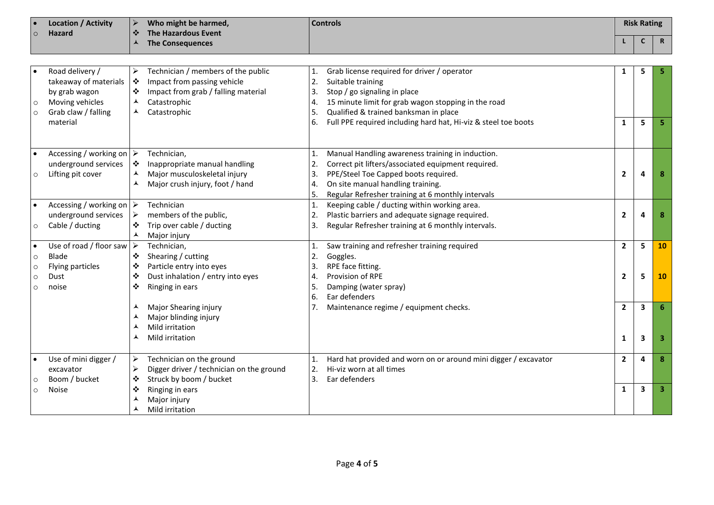| $\circ$                                  | <b>Location / Activity</b><br>Hazard                                                                            | $\blacktriangleright$<br>Who might be harmed,<br><b>Controls</b><br>❖<br><b>The Hazardous Event</b>                                                                                                                                                                                                                                                                                                                                                                                        |                                | <b>Risk Rating</b> |             |
|------------------------------------------|-----------------------------------------------------------------------------------------------------------------|--------------------------------------------------------------------------------------------------------------------------------------------------------------------------------------------------------------------------------------------------------------------------------------------------------------------------------------------------------------------------------------------------------------------------------------------------------------------------------------------|--------------------------------|--------------------|-------------|
|                                          |                                                                                                                 | ▲<br><b>The Consequences</b>                                                                                                                                                                                                                                                                                                                                                                                                                                                               |                                | C                  | $\mathbf R$ |
|                                          |                                                                                                                 |                                                                                                                                                                                                                                                                                                                                                                                                                                                                                            |                                |                    |             |
| $\circ$<br>$\circ$                       | Road delivery /<br>takeaway of materials<br>by grab wagon<br>Moving vehicles<br>Grab claw / falling<br>material | Technician / members of the public<br>Grab license required for driver / operator<br>➤<br>1.<br>Impact from passing vehicle<br>❖<br>2.<br>Suitable training<br>❖<br>Impact from grab / falling material<br>3.<br>Stop / go signaling in place<br>$\blacktriangle$<br>Catastrophic<br>15 minute limit for grab wagon stopping in the road<br>4.<br>Qualified & trained banksman in place<br>⋏<br>Catastrophic<br>5.<br>Full PPE required including hard hat, Hi-viz & steel toe boots<br>6. | 1<br>$\mathbf{1}$              | 5<br>5             |             |
| $\circ$                                  | Accessing / working on $\triangleright$<br>underground services<br>Lifting pit cover                            | Manual Handling awareness training in induction.<br>Technician,<br>1.<br>Correct pit lifters/associated equipment required.<br>❖<br>Inappropriate manual handling<br>2.<br>▲<br>Major musculoskeletal injury<br>PPE/Steel Toe Capped boots required.<br>3.<br>Major crush injury, foot / hand<br>On site manual handling training.<br>▴<br>4.<br>Regular Refresher training at 6 monthly intervals<br>5.                                                                                   | $\overline{2}$                 | 4                  |             |
| $\circ$                                  | Accessing / working on $\triangleright$<br>underground services<br>Cable / ducting                              | Keeping cable / ducting within working area.<br>Technician<br>1.<br>➤<br>members of the public,<br>Plastic barriers and adequate signage required.<br>2.<br>Trip over cable / ducting<br>Regular Refresher training at 6 monthly intervals.<br>❖<br>3.<br>▴<br>Major injury                                                                                                                                                                                                                | $\overline{2}$                 | 4                  |             |
| $\circ$<br>$\circ$<br>$\circ$<br>$\circ$ | Use of road / floor saw $\triangleright$<br>Blade<br>Flying particles<br>Dust<br>noise                          | Technician,<br>1.<br>Saw training and refresher training required<br>Shearing / cutting<br>Goggles.<br>❖<br>2.<br>Particle entry into eyes<br>RPE face fitting.<br>3.<br>❖<br>❖<br>Dust inhalation / entry into eyes<br>Provision of RPE<br>4.<br>Ringing in ears<br>❖<br>5.<br>Damping (water spray)<br>Ear defenders<br>6.                                                                                                                                                               | $\overline{2}$<br>$\mathbf{2}$ | 5<br>5             | 10<br>10    |
|                                          |                                                                                                                 | ⋏<br>Major Shearing injury<br>7.<br>Maintenance regime / equipment checks.<br>Major blinding injury<br>▴<br>Mild irritation<br>⋏<br>Mild irritation                                                                                                                                                                                                                                                                                                                                        | $\overline{2}$<br>1            | 3<br>3             |             |
| O                                        | Use of mini digger /<br>excavator<br>Boom / bucket                                                              | Technician on the ground<br>➤<br>Hard hat provided and worn on or around mini digger / excavator<br>1.<br>➤<br>Digger driver / technician on the ground<br>2.<br>Hi-viz worn at all times<br>Struck by boom / bucket<br>3.<br>Ear defenders<br>❖                                                                                                                                                                                                                                           | $\overline{2}$                 | 4                  | 8           |
| $\circ$                                  | <b>Noise</b>                                                                                                    | ❖<br>Ringing in ears<br>▴<br>Major injury<br>▴<br>Mild irritation                                                                                                                                                                                                                                                                                                                                                                                                                          | 1                              | 3                  |             |